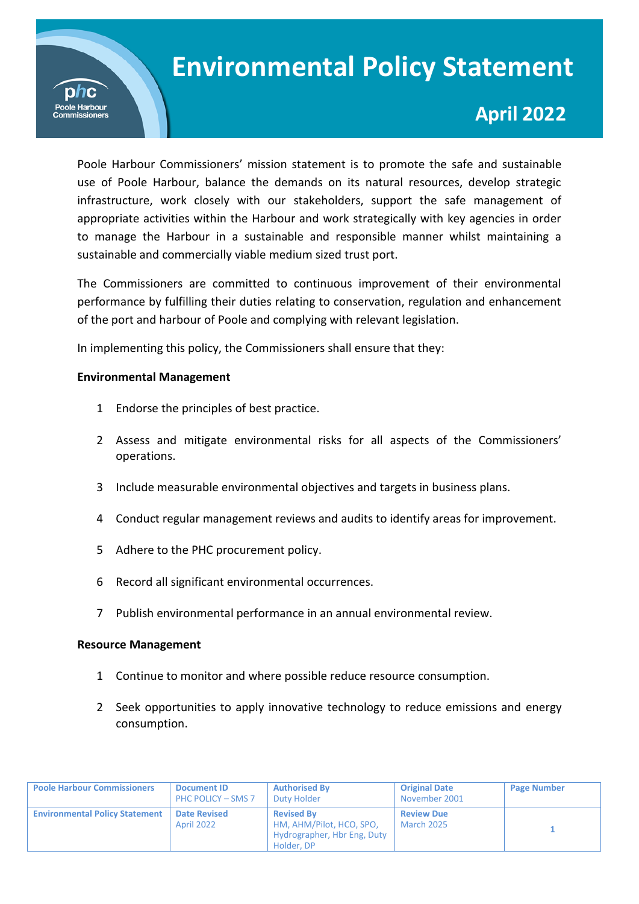

# **April 2022**

 infrastructure, work closely with our stakeholders, support the safe management of Poole Harbour Commissioners' mission statement is to promote the safe and sustainable use of Poole Harbour, balance the demands on its natural resources, develop strategic appropriate activities within the Harbour and work strategically with key agencies in order to manage the Harbour in a sustainable and responsible manner whilst maintaining a sustainable and commercially viable medium sized trust port.

The Commissioners are committed to continuous improvement of their environmental performance by fulfilling their duties relating to conservation, regulation and enhancement of the port and harbour of Poole and complying with relevant legislation.

In implementing this policy, the Commissioners shall ensure that they:

### **Environmental Management**

- 1 Endorse the principles of best practice.
- 2 Assess and mitigate environmental risks for all aspects of the Commissioners' operations.
- 3 Include measurable environmental objectives and targets in business plans.
- 4 Conduct regular management reviews and audits to identify areas for improvement.
- 5 Adhere to the PHC procurement policy.
- 6 Record all significant environmental occurrences.
- 7 Publish environmental performance in an annual environmental review.

#### **Resource Management**

- 1 Continue to monitor and where possible reduce resource consumption.
- 2 Seek opportunities to apply innovative technology to reduce emissions and energy consumption.

| <b>Poole Harbour Commissioners</b>    | <b>Document ID</b><br>PHC POLICY - SMS 7 | <b>Authorised By</b><br>Duty Holder                                                        | <b>Original Date</b><br>November 2001  | <b>Page Number</b> |
|---------------------------------------|------------------------------------------|--------------------------------------------------------------------------------------------|----------------------------------------|--------------------|
| <b>Environmental Policy Statement</b> | <b>Date Revised</b><br><b>April 2022</b> | <b>Revised By</b><br>HM, AHM/Pilot, HCO, SPO,<br>Hydrographer, Hbr Eng, Duty<br>Holder, DP | <b>Review Due</b><br><b>March 2025</b> |                    |